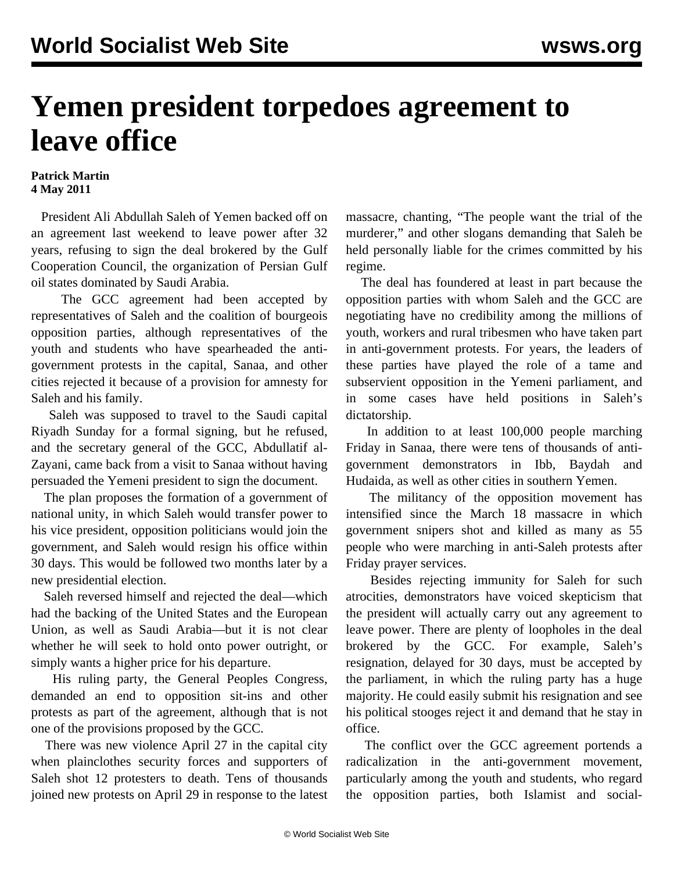## **Yemen president torpedoes agreement to leave office**

## **Patrick Martin 4 May 2011**

 President Ali Abdullah Saleh of Yemen backed off on an agreement last weekend to leave power after 32 years, refusing to sign the deal brokered by the Gulf Cooperation Council, the organization of Persian Gulf oil states dominated by Saudi Arabia.

 The GCC agreement had been accepted by representatives of Saleh and the coalition of bourgeois opposition parties, although representatives of the youth and students who have spearheaded the antigovernment protests in the capital, Sanaa, and other cities rejected it because of a provision for amnesty for Saleh and his family.

 Saleh was supposed to travel to the Saudi capital Riyadh Sunday for a formal signing, but he refused, and the secretary general of the GCC, Abdullatif al-Zayani, came back from a visit to Sanaa without having persuaded the Yemeni president to sign the document.

 The plan proposes the formation of a government of national unity, in which Saleh would transfer power to his vice president, opposition politicians would join the government, and Saleh would resign his office within 30 days. This would be followed two months later by a new presidential election.

 Saleh reversed himself and rejected the deal—which had the backing of the United States and the European Union, as well as Saudi Arabia—but it is not clear whether he will seek to hold onto power outright, or simply wants a higher price for his departure.

 His ruling party, the General Peoples Congress, demanded an end to opposition sit-ins and other protests as part of the agreement, although that is not one of the provisions proposed by the GCC.

 There was new violence April 27 in the capital city when plainclothes security forces and supporters of Saleh shot 12 protesters to death. Tens of thousands joined new protests on April 29 in response to the latest massacre, chanting, "The people want the trial of the murderer," and other slogans demanding that Saleh be held personally liable for the crimes committed by his regime.

 The deal has foundered at least in part because the opposition parties with whom Saleh and the GCC are negotiating have no credibility among the millions of youth, workers and rural tribesmen who have taken part in anti-government protests. For years, the leaders of these parties have played the role of a tame and subservient opposition in the Yemeni parliament, and in some cases have held positions in Saleh's dictatorship.

 In addition to at least 100,000 people marching Friday in Sanaa, there were tens of thousands of antigovernment demonstrators in Ibb, Baydah and Hudaida, as well as other cities in southern Yemen.

 The militancy of the opposition movement has intensified since the March 18 massacre in which government snipers shot and killed as many as 55 people who were marching in anti-Saleh protests after Friday prayer services.

 Besides rejecting immunity for Saleh for such atrocities, demonstrators have voiced skepticism that the president will actually carry out any agreement to leave power. There are plenty of loopholes in the deal brokered by the GCC. For example, Saleh's resignation, delayed for 30 days, must be accepted by the parliament, in which the ruling party has a huge majority. He could easily submit his resignation and see his political stooges reject it and demand that he stay in office.

 The conflict over the GCC agreement portends a radicalization in the anti-government movement, particularly among the youth and students, who regard the opposition parties, both Islamist and social